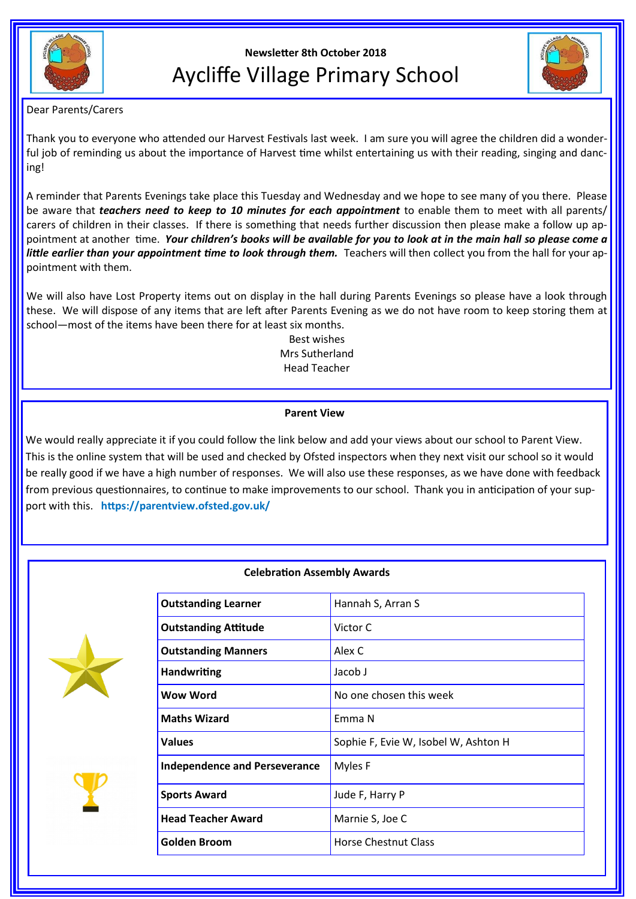

# **Newsletter 8th October 2018** Aycliffe Village Primary School



Dear Parents/Carers

Thank you to everyone who attended our Harvest Festivals last week. I am sure you will agree the children did a wonderful job of reminding us about the importance of Harvest time whilst entertaining us with their reading, singing and dancing!

A reminder that Parents Evenings take place this Tuesday and Wednesday and we hope to see many of you there. Please be aware that *teachers need to keep to 10 minutes for each appointment* to enable them to meet with all parents/ carers of children in their classes. If there is something that needs further discussion then please make a follow up appointment at another time. *Your children's books will be available for you to look at in the main hall so please come a*  little earlier than your appointment time to look through them. Teachers will then collect you from the hall for your appointment with them.

We will also have Lost Property items out on display in the hall during Parents Evenings so please have a look through these. We will dispose of any items that are left after Parents Evening as we do not have room to keep storing them at school—most of the items have been there for at least six months.

Best wishes Mrs Sutherland Head Teacher

# **Parent View**

We would really appreciate it if you could follow the link below and add your views about our school to Parent View. This is the online system that will be used and checked by Ofsted inspectors when they next visit our school so it would be really good if we have a high number of responses. We will also use these responses, as we have done with feedback from previous questionnaires, to continue to make improvements to our school. Thank you in anticipation of your support with this. **https://parentview.ofsted.gov.uk/**

# **Celebration Assembly Awards**





| <b>Outstanding Learner</b>           | Hannah S, Arran S                    |
|--------------------------------------|--------------------------------------|
| <b>Outstanding Attitude</b>          | Victor C                             |
| <b>Outstanding Manners</b>           | Alex C                               |
| <b>Handwriting</b>                   | Jacob J                              |
| Wow Word                             | No one chosen this week              |
| <b>Maths Wizard</b>                  | Emma N                               |
| <b>Values</b>                        | Sophie F, Evie W, Isobel W, Ashton H |
| <b>Independence and Perseverance</b> | Myles F                              |
| <b>Sports Award</b>                  | Jude F, Harry P                      |
| <b>Head Teacher Award</b>            | Marnie S, Joe C                      |
| <b>Golden Broom</b>                  | <b>Horse Chestnut Class</b>          |
|                                      |                                      |